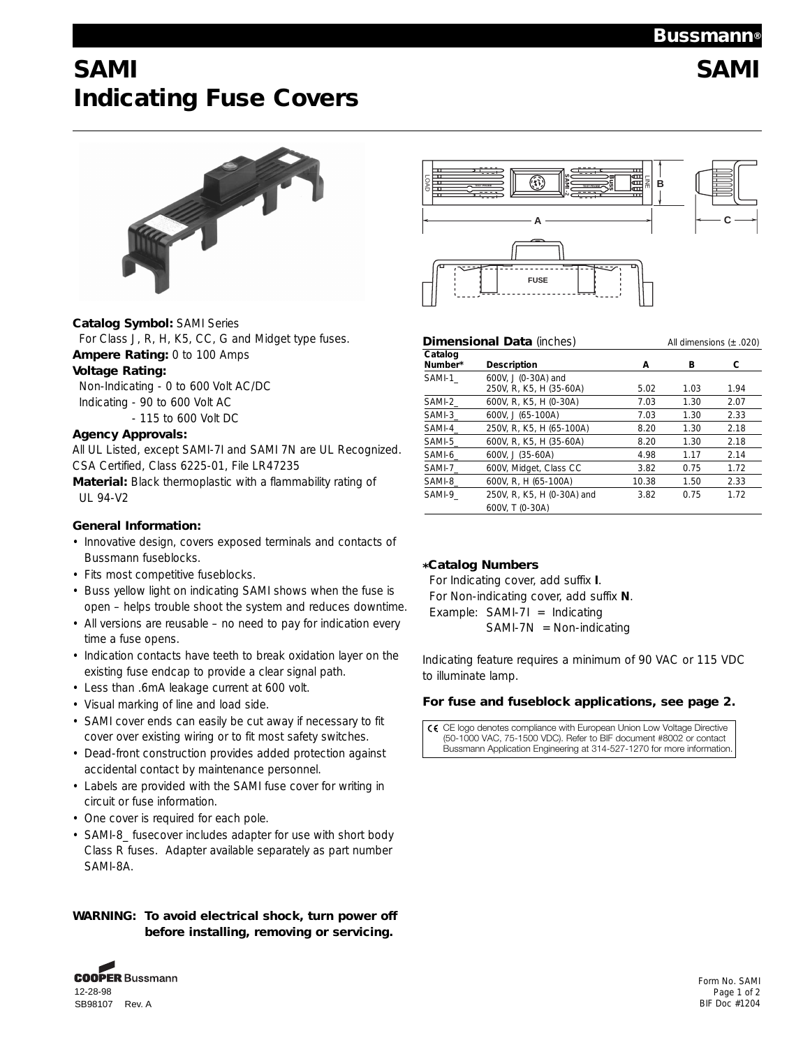## **Bussmann®**

# **SAMI SAMI Indicating Fuse Covers**



## **Catalog Symbol:** SAMI Series

For Class J, R, H, K5, CC, G and Midget type fuses. **Ampere Rating:** 0 to 100 Amps **Voltage Rating:** 

Non-Indicating - 0 to 600 Volt AC/DC Indicating - 90 to 600 Volt AC - 115 to 600 Volt DC

### **Agency Approvals:**

All UL Listed, except SAMI-7I and SAMI 7N are UL Recognized. CSA Certified, Class 6225-01, File LR47235

**Material:** Black thermoplastic with a flammability rating of UL 94-V2

## **General Information:**

- Innovative design, covers exposed terminals and contacts of Bussmann fuseblocks.
- Fits most competitive fuseblocks.
- Buss yellow light on indicating SAMI shows when the fuse is open – helps trouble shoot the system and reduces downtime.
- All versions are reusable no need to pay for indication every time a fuse opens.
- Indication contacts have teeth to break oxidation layer on the existing fuse endcap to provide a clear signal path.
- Less than .6mA leakage current at 600 volt.
- Visual marking of line and load side.
- SAMI cover ends can easily be cut away if necessary to fit cover over existing wiring or to fit most safety switches.
- Dead-front construction provides added protection against accidental contact by maintenance personnel.
- Labels are provided with the SAMI fuse cover for writing in circuit or fuse information.
- One cover is required for each pole.
- SAMI-8\_ fusecover includes adapter for use with short body Class R fuses. Adapter available separately as part number SAMI-8A.

## **WARNING: To avoid electrical shock, turn power off before installing, removing or servicing.**



| LOAD                | 國                                                                                                                                                                   | 듷<br>由<br>в |      |                             |
|---------------------|---------------------------------------------------------------------------------------------------------------------------------------------------------------------|-------------|------|-----------------------------|
|                     | А                                                                                                                                                                   |             |      |                             |
|                     | <b>FUSE</b>                                                                                                                                                         |             |      |                             |
|                     | <b>Dimensional Data (inches)</b>                                                                                                                                    |             |      | All dimensions $(\pm .020)$ |
| Catalog<br>Number*  | Description                                                                                                                                                         | А           | в    | с                           |
| SAMI-1              | 600V, J (0-30A) and<br>250V, R, K5, H (35-60A)                                                                                                                      | 5.02        | 1.03 | 1.94                        |
| SAMI-2              | 600V, R, K5, H (0-30A)                                                                                                                                              | 7.03        | 1.30 | 2.07                        |
| SAMI-3              | 600V, J (65-100A)<br>7.03                                                                                                                                           |             | 1.30 | 2.33                        |
| SAMI-4              | 250V, R, K5, H (65-100A)                                                                                                                                            | 8.20        | 1.30 | 2.18                        |
| SAMI-5              | 600V, R, K5, H (35-60A)                                                                                                                                             | 8.20        | 1.30 | 2.18                        |
| SAMI-6              | 600V, J (35-60A)                                                                                                                                                    | 4.98        | 1.17 | 2.14                        |
| SAMI-7              | 600V, Midget, Class CC<br>3.82                                                                                                                                      |             | 0.75 | 1.72                        |
| SAMI-8              | 600V, R, H (65-100A)                                                                                                                                                | 10.38       | 1.50 | 2.33                        |
| SAMI-9              | 250V, R, K5, H (0-30A) and<br>600V, T (0-30A)                                                                                                                       | 3.82        | 0.75 | 1.72                        |
|                     | *Catalog Numbers<br>For Indicating cover, add suffix I.<br>For Non-indicating cover, add suffix N.<br>Example: $SAMI-7I = Indicating$<br>$SAMI-7N = Non-indicating$ |             |      |                             |
| to illuminate lamp. | Indicating feature requires a minimum of 90 VAC or 115 VDC                                                                                                          |             |      |                             |
|                     | For fuse and fuseblock applications, see page 2.                                                                                                                    |             |      |                             |

## **\*Catalog Numbers**

 $\epsilon$ CE logo denotes compliance with European Union Low Voltage Directive (50-1000 VAC, 75-1500 VDC). Refer to BIF document #8002 or contact Bussmann Application Engineering at 314-527-1270 for more information.

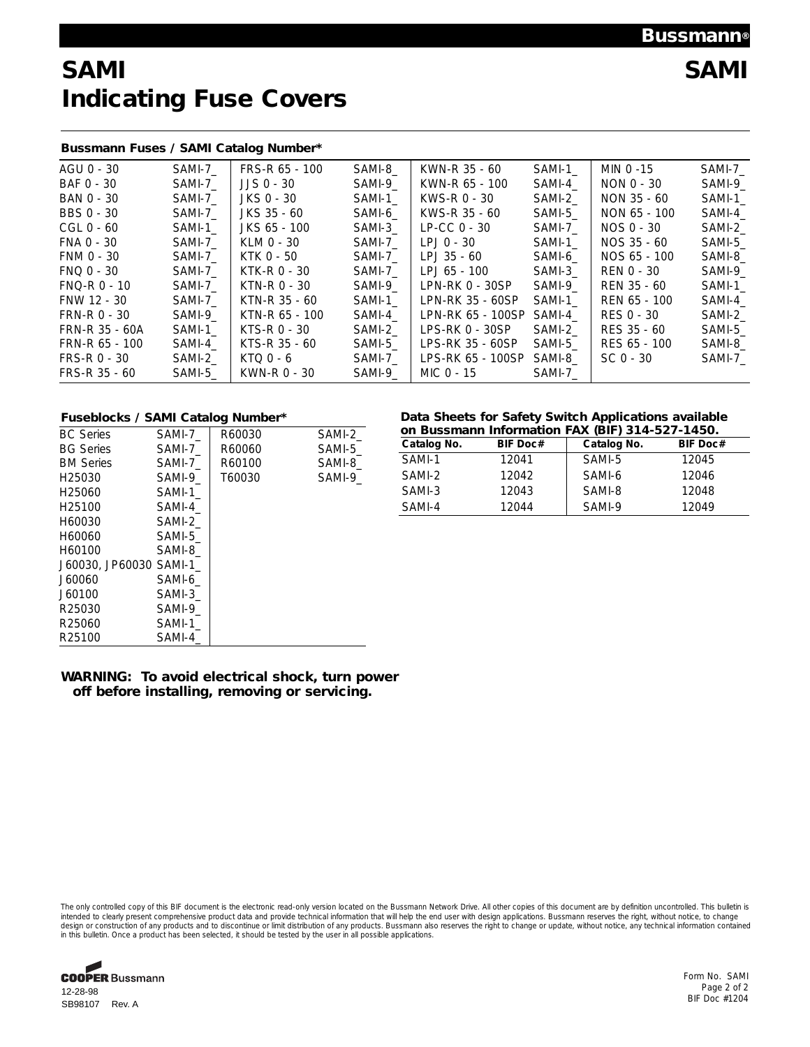## **Bussmann®**

# **SAMI SAMI Indicating Fuse Covers**

## **Bussmann Fuses / SAMI Catalog Number\***

| AGU 0 - 30       | SAMI-7  | FRS-R 65 - 100 | SAMI-8 | KWN-R 35 - 60     | SAMI-1 | MIN 0 -15    | SAMI-7  |
|------------------|---------|----------------|--------|-------------------|--------|--------------|---------|
| BAF 0 - 30       | SAMI-7  | $JJS$ $0 - 30$ | SAMI-9 | KWN-R 65 - 100    | SAMI-4 | NON 0 - 30   | SAMI-9  |
| BAN 0 - 30       | SAMI-7  | JKS 0 - 30     | SAMI-1 | KWS-R 0 - 30      | SAMI-2 | NON 35 - 60  | SAMI-1  |
| BBS 0 - 30       | SAMI-7  | JKS 35 - 60    | SAMI-6 | KWS-R 35 - 60     | SAMI-5 | NON 65 - 100 | SAMI-4  |
| CGL 0 - 60       | SAMI-1  | JKS 65 - 100   | SAMI-3 | $LP-CC$ 0 - 30    | SAMI-7 | NOS 0 - 30   | SAMI-2  |
| FNA 0 - 30       | SAMI-7  | KLM 0 - 30     | SAMI-7 | LPJ 0 - 30        | SAMI-1 | NOS 35 - 60  | SAMI-5_ |
| FNM 0 - 30       | SAMI-7  | KTK 0 - 50     | SAMI-7 | LPJ 35 - 60       | SAMI-6 | NOS 65 - 100 | SAMI-8  |
| FNQ 0 - 30       | SAMI-7  | KTK-R 0 - 30   | SAMI-7 | LPJ 65 - 100      | SAMI-3 | REN 0 - 30   | SAMI-9  |
| $FNO-R$ $0 - 10$ | SAMI-7  | KTN-R 0 - 30   | SAMI-9 | LPN-RK 0 - 30SP   | SAMI-9 | REN 35 - 60  | SAMI-1  |
| FNW 12 - 30      | SAMI-7_ | KTN-R 35 - 60  | SAMI-1 | LPN-RK 35 - 60SP  | SAMI-1 | REN 65 - 100 | SAMI-4  |
| FRN-R 0 - 30     | SAMI-9  | KTN-R 65 - 100 | SAMI-4 | LPN-RK 65 - 100SP | SAMI-4 | RES 0 - 30   | SAMI-2  |
| FRN-R 35 - 60A   | SAMI-1  | KTS-R 0 - 30   | SAMI-2 | $LPS-RK 0 - 30SP$ | SAMI-2 | RES 35 - 60  | SAMI-5  |
| FRN-R 65 - 100   | SAMI-4  | KTS-R 35 - 60  | SAMI-5 | LPS-RK 35 - 60SP  | SAMI-5 | RES 65 - 100 | SAMI-8_ |
| $FRS-R$ $0 - 30$ | SAMI-2  | $KTOO - 6$     | SAMI-7 | LPS-RK 65 - 100SP | SAMI-8 | $SC_0 - 30$  | SAMI-7  |
| FRS-R 35 - 60    | SAMI-5  | KWN-R 0 - 30   | SAMI-9 | MIC 0 - 15        | SAMI-7 |              |         |
|                  |         |                |        |                   |        |              |         |

| <b>FUSEDIOCKS / SAMIL CATAIOQ NUMBER</b> |        |        |        |
|------------------------------------------|--------|--------|--------|
| <b>BC</b> Series                         | SAMI-7 | R60030 | SAMI-2 |
| <b>BG Series</b>                         | SAMI-7 | R60060 | SAMI-5 |
| <b>BM Series</b>                         | SAMI-7 | R60100 | SAMI-8 |
| H <sub>25030</sub>                       | SAMI-9 | T60030 | SAMI-9 |
| H <sub>25060</sub>                       | SAMI-1 |        |        |
| H <sub>25100</sub>                       | SAMI-4 |        |        |
| H60030                                   | SAMI-2 |        |        |
| H60060                                   | SAMI-5 |        |        |
| H60100                                   | SAMI-8 |        |        |
| J60030, JP60030 SAMI-1                   |        |        |        |
| J60060                                   | SAMI-6 |        |        |
| J60100                                   | SAMI-3 |        |        |
| R25030                                   | SAMI-9 |        |        |
| R25060                                   | SAMI-1 |        |        |
| R25100                                   | SAMI-4 |        |        |

### **Fuseblocks / SAMI Catalog Number\* Data Sheets for Safety Switch Applications available on Bussmann Information FAX (BIF) 314-527-1450.**

| Catalog No. | <b>BIF Doc#</b> | Catalog No. | <b>BIF Doc#</b> |  |
|-------------|-----------------|-------------|-----------------|--|
| SAMI-1      | 12041           | SAMI-5      | 12045           |  |
| SAMI-2      | 12042           | SAMI-6      | 12046           |  |
| SAMI-3      | 12043           | SAMI-8      | 12048           |  |
| SAMI-4      | 12044           | SAMI-9      | 12049           |  |

## **WARNING: To avoid electrical shock, turn power off before installing, removing or servicing.**

The only controlled copy of this BIF document is the electronic read-only version located on the Bussmann Network Drive. All other copies of this document are by definition uncontrolled. This bulletin is intended to clearly present comprehensive product data and provide technical information that will help the end user with design applications. Bussmann reserves the right, without notice, to change<br>design or construction o



Form No. SAMI Page 2 of 2 BIF Doc #1204